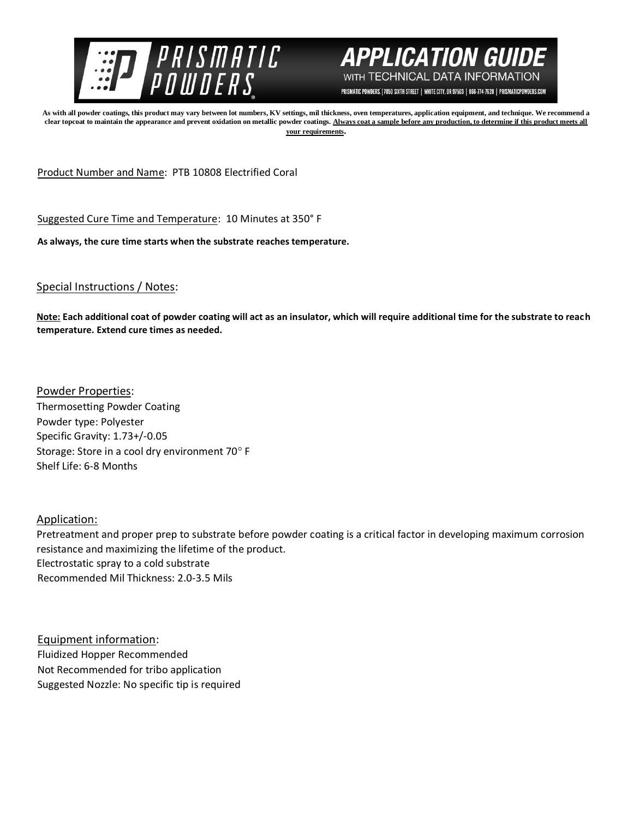



PRISMATIC POWDERS. | 7050 SIXTH STREET | WHITE CITY, OR 97503 | 866-774-7628 | PRISMATICPOWDERS.COM

**As with all powder coatings, this product may vary between lot numbers, KV settings, mil thickness, oven temperatures, application equipment, and technique. We recommend a clear topcoat to maintain the appearance and prevent oxidation on metallic powder coatings. Always coat a sample before any production, to determine if this product meets all your requirements.** 

Product Number and Name: PTB 10808 Electrified Coral

Suggested Cure Time and Temperature: 10 Minutes at 350° F

**As always, the cure time starts when the substrate reaches temperature.**

Special Instructions / Notes:

**Note: Each additional coat of powder coating will act as an insulator, which will require additional time for the substrate to reach temperature. Extend cure times as needed.** 

Powder Properties: Thermosetting Powder Coating Powder type: Polyester Specific Gravity: 1.73+/-0.05 Storage: Store in a cool dry environment 70° F Shelf Life: 6-8 Months

Application:

Pretreatment and proper prep to substrate before powder coating is a critical factor in developing maximum corrosion resistance and maximizing the lifetime of the product. Electrostatic spray to a cold substrate Recommended Mil Thickness: 2.0-3.5 Mils

Equipment information: Fluidized Hopper Recommended Not Recommended for tribo application Suggested Nozzle: No specific tip is required